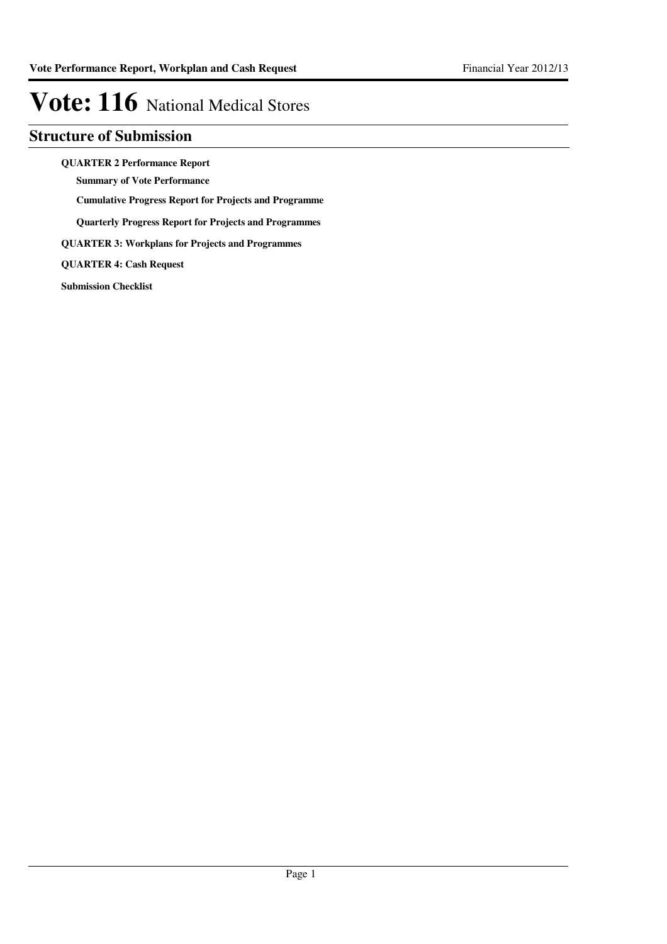### **Structure of Submission**

**QUARTER 2 Performance Report**

**Summary of Vote Performance**

**Cumulative Progress Report for Projects and Programme**

**Quarterly Progress Report for Projects and Programmes**

**QUARTER 3: Workplans for Projects and Programmes**

**QUARTER 4: Cash Request**

**Submission Checklist**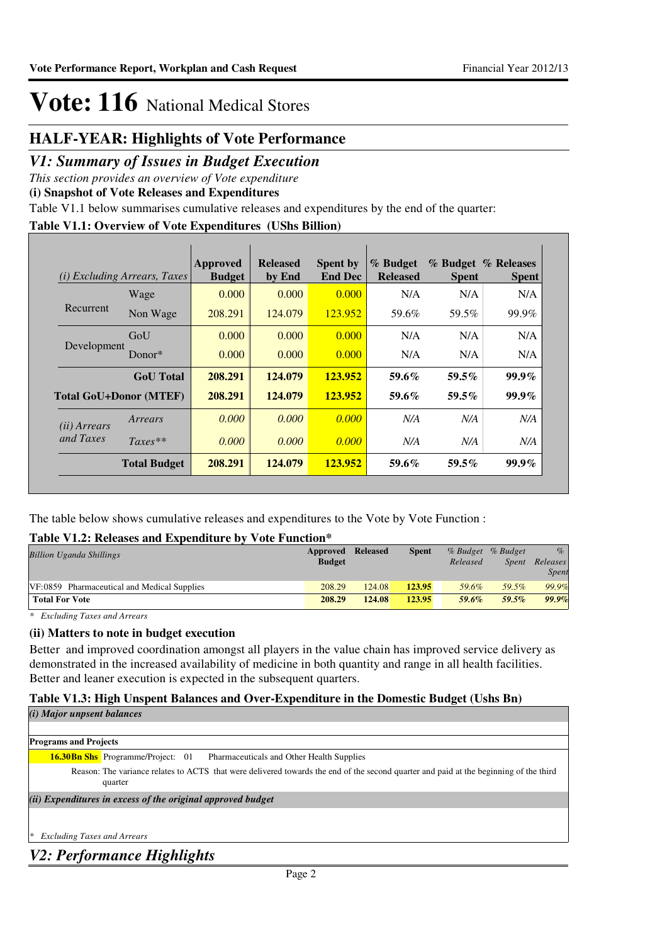### **HALF-YEAR: Highlights of Vote Performance**

### *V1: Summary of Issues in Budget Execution*

*This section provides an overview of Vote expenditure* 

**(i) Snapshot of Vote Releases and Expenditures**

Table V1.1 below summarises cumulative releases and expenditures by the end of the quarter:

### **Table V1.1: Overview of Vote Expenditures (UShs Billion)**

| (i)                   | <i>Excluding Arrears, Taxes</i> | <b>Approved</b><br><b>Budget</b> | <b>Released</b><br>by End | <b>Spent by</b><br><b>End Dec</b> | % Budget<br><b>Released</b> | <b>Spent</b> | % Budget % Releases<br><b>Spent</b> |
|-----------------------|---------------------------------|----------------------------------|---------------------------|-----------------------------------|-----------------------------|--------------|-------------------------------------|
| Recurrent             | Wage                            | 0.000                            | 0.000                     | 0.000                             | N/A                         | N/A          | N/A                                 |
|                       | Non Wage                        | 208.291                          | 124,079                   | 123.952                           | 59.6%                       | 59.5%        | 99.9%                               |
|                       | GoU                             | 0.000                            | 0.000                     | 0.000                             | N/A                         | N/A          | N/A                                 |
| Development           | Donor*                          | 0.000                            | 0.000                     | 0.000                             | N/A                         | N/A          | N/A                                 |
|                       | <b>GoU</b> Total                | 208.291                          | 124.079                   | 123.952                           | 59.6%                       | $59.5\%$     | $99.9\%$                            |
|                       | <b>Total GoU+Donor (MTEF)</b>   | 208.291                          | 124,079                   | 123.952                           | $59.6\%$                    | $59.5\%$     | $99.9\%$                            |
| ( <i>ii</i> ) Arrears | Arrears                         | 0.000                            | 0.000                     | 0.000                             | N/A                         | N/A          | N/A                                 |
| and Taxes             | $Taxes**$                       | 0.000                            | 0.000                     | 0.000                             | N/A                         | N/A          | N/A                                 |
|                       | <b>Total Budget</b>             | 208.291                          | 124.079                   | 123.952                           | 59.6%                       | $59.5\%$     | $99.9\%$                            |

The table below shows cumulative releases and expenditures to the Vote by Vote Function :

#### **Table V1.2: Releases and Expenditure by Vote Function\***

| <b>Billion Uganda Shillings</b>             | <b>Approved Released</b><br><b>Budget</b> |        | <b>Spent</b> | Released | % Budget % Budget<br><i>Spent</i> | $\%$<br>Releases<br>Spent |
|---------------------------------------------|-------------------------------------------|--------|--------------|----------|-----------------------------------|---------------------------|
| VF:0859 Pharmaceutical and Medical Supplies | 208.29                                    | 124.08 | 123.95       | 59.6%    | 59.5%                             | 99.9%                     |
| <b>Total For Vote</b>                       | 208.29                                    | 124.08 | 123.95       | 59.6%    | 59.5%                             | 99.9%                     |

*\* Excluding Taxes and Arrears*

#### **(ii) Matters to note in budget execution**

Better and improved coordination amongst all players in the value chain has improved service delivery as demonstrated in the increased availability of medicine in both quantity and range in all health facilities. Better and leaner execution is expected in the subsequent quarters.

### **Table V1.3: High Unspent Balances and Over-Expenditure in the Domestic Budget (Ushs Bn)**

*(i) Major unpsent balances*

| <b>Programs and Projects</b>                                                                                                                     |  |
|--------------------------------------------------------------------------------------------------------------------------------------------------|--|
| <b>16.30Bn Shs</b> Programme/Project: 01<br>Pharmaceuticals and Other Health Supplies                                                            |  |
| Reason: The variance relates to ACTS that were delivered towards the end of the second quarter and paid at the beginning of the third<br>quarter |  |
| (ii) Expenditures in excess of the original approved budget                                                                                      |  |
|                                                                                                                                                  |  |

*\* Excluding Taxes and Arrears*

*V2: Performance Highlights*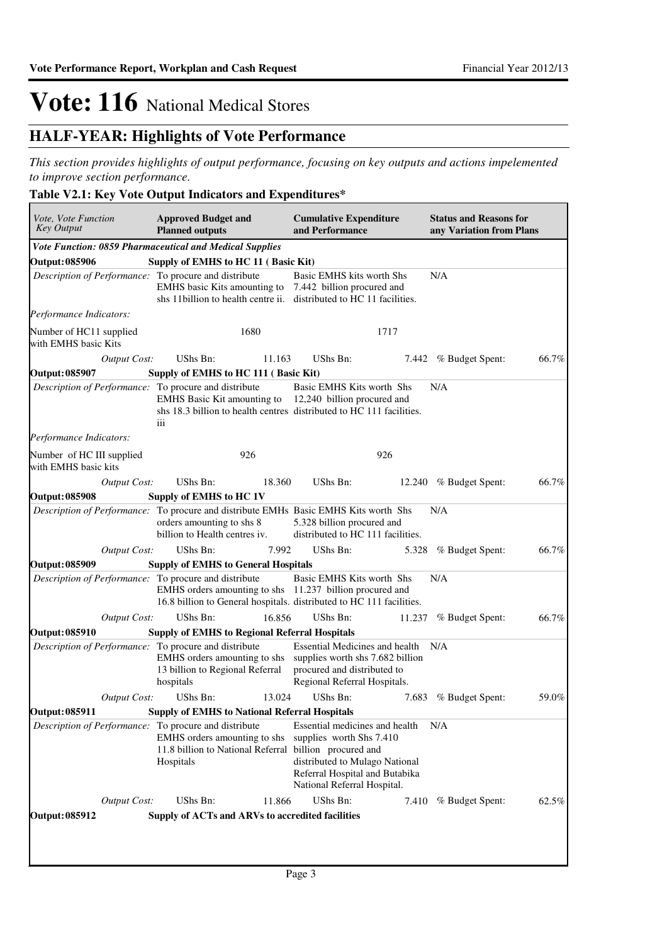## **HALF-YEAR: Highlights of Vote Performance**

*This section provides highlights of output performance, focusing on key outputs and actions impelemented to improve section performance.*

### **Table V2.1: Key Vote Output Indicators and Expenditures\***

| Vote, Vote Function<br><b>Key Output</b>              | <b>Approved Budget and</b><br><b>Planned outputs</b>                                                                                                      | <b>Cumulative Expenditure</b><br>and Performance                                                                                                                                      |        | <b>Status and Reasons for</b><br>any Variation from Plans |       |
|-------------------------------------------------------|-----------------------------------------------------------------------------------------------------------------------------------------------------------|---------------------------------------------------------------------------------------------------------------------------------------------------------------------------------------|--------|-----------------------------------------------------------|-------|
|                                                       | Vote Function: 0859 Pharmaceutical and Medical Supplies                                                                                                   |                                                                                                                                                                                       |        |                                                           |       |
| <b>Output: 085906</b>                                 | Supply of EMHS to HC 11 (Basic Kit)                                                                                                                       |                                                                                                                                                                                       |        |                                                           |       |
| Description of Performance: To procure and distribute | EMHS basic Kits amounting to 7.442 billion procured and<br>shs 11 billion to health centre ii. distributed to HC 11 facilities.                           | Basic EMHS kits worth Shs                                                                                                                                                             |        | N/A                                                       |       |
| Performance Indicators:                               |                                                                                                                                                           |                                                                                                                                                                                       |        |                                                           |       |
| Number of HC11 supplied<br>with EMHS basic Kits       | 1680                                                                                                                                                      |                                                                                                                                                                                       | 1717   |                                                           |       |
| Output Cost:                                          | UShs Bn:                                                                                                                                                  | 11.163<br>UShs Bn:                                                                                                                                                                    |        | 7.442 % Budget Spent:                                     | 66.7% |
| Output: 085907                                        | Supply of EMHS to HC 111 (Basic Kit)                                                                                                                      |                                                                                                                                                                                       |        |                                                           |       |
| Description of Performance: To procure and distribute | EMHS Basic Kit amounting to 12,240 billion procured and<br>shs 18.3 billion to health centres distributed to HC 111 facilities.<br>iii                    | Basic EMHS Kits worth Shs                                                                                                                                                             |        | N/A                                                       |       |
| Performance Indicators:                               |                                                                                                                                                           |                                                                                                                                                                                       |        |                                                           |       |
| Number of HC III supplied<br>with EMHS basic kits     | 926                                                                                                                                                       |                                                                                                                                                                                       | 926    |                                                           |       |
| Output Cost:                                          | UShs Bn:                                                                                                                                                  | UShs Bn:<br>18.360                                                                                                                                                                    |        | 12.240 % Budget Spent:                                    | 66.7% |
| <b>Output: 085908</b>                                 | Supply of EMHS to HC 1V                                                                                                                                   |                                                                                                                                                                                       |        |                                                           |       |
|                                                       | <i>Description of Performance:</i> To procure and distribute EMHs Basic EMHS Kits worth Shs<br>orders amounting to shs 8<br>billion to Health centres iv. | 5.328 billion procured and<br>distributed to HC 111 facilities.                                                                                                                       |        | N/A                                                       |       |
| <b>Output Cost:</b>                                   | UShs Bn:                                                                                                                                                  | UShs Bn:<br>7.992                                                                                                                                                                     | 5.328  | % Budget Spent:                                           | 66.7% |
| <b>Output: 085909</b>                                 | <b>Supply of EMHS to General Hospitals</b>                                                                                                                |                                                                                                                                                                                       |        |                                                           |       |
| Description of Performance: To procure and distribute | EMHS orders amounting to shs 11.237 billion procured and<br>16.8 billion to General hospitals. distributed to HC 111 facilities.                          | Basic EMHS Kits worth Shs                                                                                                                                                             |        | N/A                                                       |       |
| <b>Output Cost:</b>                                   | UShs Bn:                                                                                                                                                  | 16.856<br>UShs Bn:                                                                                                                                                                    | 11.237 | % Budget Spent:                                           | 66.7% |
| <b>Output: 085910</b>                                 | <b>Supply of EMHS to Regional Referral Hospitals</b>                                                                                                      |                                                                                                                                                                                       |        |                                                           |       |
| Description of Performance: To procure and distribute | EMHS orders amounting to shs<br>13 billion to Regional Referral<br>hospitals                                                                              | <b>Essential Medicines and health</b><br>supplies worth shs 7.682 billion<br>procured and distributed to<br>Regional Referral Hospitals.                                              |        | N/A                                                       |       |
| <b>Output Cost:</b>                                   | UShs Bn:                                                                                                                                                  | UShs Bn:<br>13.024                                                                                                                                                                    |        | 7.683 % Budget Spent:                                     | 59.0% |
| <b>Output: 085911</b>                                 | <b>Supply of EMHS to National Referral Hospitals</b>                                                                                                      |                                                                                                                                                                                       |        |                                                           |       |
| Description of Performance: To procure and distribute | EMHS orders amounting to shs<br>11.8 billion to National Referral<br>Hospitals                                                                            | Essential medicines and health<br>supplies worth Shs 7.410<br>billion procured and<br>distributed to Mulago National<br>Referral Hospital and Butabika<br>National Referral Hospital. |        | N/A                                                       |       |
| <b>Output Cost:</b>                                   | UShs Bn:                                                                                                                                                  | UShs Bn:<br>11.866                                                                                                                                                                    |        | 7.410 % Budget Spent:                                     | 62.5% |
| <b>Output: 085912</b>                                 | Supply of ACTs and ARVs to accredited facilities                                                                                                          |                                                                                                                                                                                       |        |                                                           |       |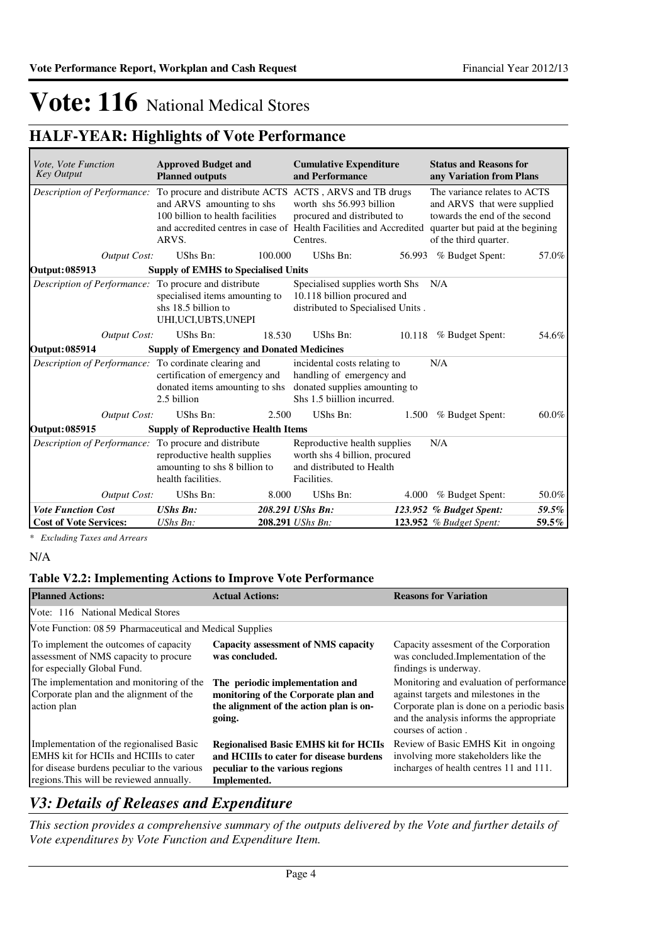## **HALF-YEAR: Highlights of Vote Performance**

| Vote, Vote Function<br>Key Output                     | <b>Approved Budget and</b><br><b>Planned outputs</b>                                                                                                                                                   |         | <b>Cumulative Expenditure</b><br>and Performance                                                                         |        | <b>Status and Reasons for</b><br>any Variation from Plans                                                                                                 |       |
|-------------------------------------------------------|--------------------------------------------------------------------------------------------------------------------------------------------------------------------------------------------------------|---------|--------------------------------------------------------------------------------------------------------------------------|--------|-----------------------------------------------------------------------------------------------------------------------------------------------------------|-------|
| Description of Performance:                           | To procure and distribute ACTS ACTS, ARVS and TB drugs<br>and ARVS amounting to shs<br>100 billion to health facilities<br>and accredited centres in case of Health Facilities and Accredited<br>ARVS. |         | worth shs 56,993 billion<br>procured and distributed to<br>Centres.                                                      |        | The variance relates to ACTS<br>and ARVS that were supplied<br>towards the end of the second<br>quarter but paid at the begining<br>of the third quarter. |       |
| <b>Output Cost:</b>                                   | UShs Bn:                                                                                                                                                                                               | 100.000 | UShs Bn:                                                                                                                 | 56.993 | % Budget Spent:                                                                                                                                           | 57.0% |
| <b>Output: 085913</b>                                 | <b>Supply of EMHS to Specialised Units</b>                                                                                                                                                             |         |                                                                                                                          |        |                                                                                                                                                           |       |
| Description of Performance: To procure and distribute | specialised items amounting to<br>shs 18.5 billion to<br>UHI, UCI, UBTS, UNEPI                                                                                                                         |         | Specialised supplies worth Shs<br>10.118 billion procured and<br>distributed to Specialised Units.                       |        | N/A                                                                                                                                                       |       |
| <b>Output Cost:</b>                                   | UShs Bn:                                                                                                                                                                                               | 18.530  | UShs Bn:                                                                                                                 |        | 10.118 % Budget Spent:                                                                                                                                    | 54.6% |
| <b>Output: 085914</b>                                 | <b>Supply of Emergency and Donated Medicines</b>                                                                                                                                                       |         |                                                                                                                          |        |                                                                                                                                                           |       |
| Description of Performance: To cordinate clearing and | certification of emergency and<br>donated items amounting to shs<br>2.5 billion                                                                                                                        |         | incidental costs relating to<br>handling of emergency and<br>donated supplies amounting to<br>Shs 1.5 biillion incurred. |        | N/A                                                                                                                                                       |       |
| <b>Output Cost:</b>                                   | UShs Bn:                                                                                                                                                                                               | 2.500   | UShs Bn:                                                                                                                 | 1.500  | % Budget Spent:                                                                                                                                           | 60.0% |
| <b>Output: 085915</b>                                 | <b>Supply of Reproductive Health Items</b>                                                                                                                                                             |         |                                                                                                                          |        |                                                                                                                                                           |       |
| Description of Performance:                           | To procure and distribute<br>reproductive health supplies<br>amounting to shs 8 billion to<br>health facilities.                                                                                       |         | Reproductive health supplies<br>worth shs 4 billion, procured<br>and distributed to Health<br>Facilities.                |        | N/A                                                                                                                                                       |       |
| <b>Output Cost:</b>                                   | UShs Bn:                                                                                                                                                                                               | 8.000   | UShs Bn:                                                                                                                 | 4.000  | % Budget Spent:                                                                                                                                           | 50.0% |
| <b>Vote Function Cost</b>                             | <b>UShs Bn:</b>                                                                                                                                                                                        |         | 208.291 UShs Bn:                                                                                                         |        | 123.952 % Budget Spent:                                                                                                                                   | 59.5% |
| <b>Cost of Vote Services:</b>                         | $UShs Bn$ :                                                                                                                                                                                            |         | 208.291 UShs Bn:                                                                                                         |        | 123.952 % Budget Spent:                                                                                                                                   | 59.5% |

*\* Excluding Taxes and Arrears*

#### N/A

### **Table V2.2: Implementing Actions to Improve Vote Performance**

| <b>Planned Actions:</b>                                                                                                                                                       | <b>Actual Actions:</b>                                                                                                                     | <b>Reasons for Variation</b>                                                                                                                                                                      |
|-------------------------------------------------------------------------------------------------------------------------------------------------------------------------------|--------------------------------------------------------------------------------------------------------------------------------------------|---------------------------------------------------------------------------------------------------------------------------------------------------------------------------------------------------|
| Vote: 116 National Medical Stores                                                                                                                                             |                                                                                                                                            |                                                                                                                                                                                                   |
| Vote Function: 08 59 Pharmaceutical and Medical Supplies                                                                                                                      |                                                                                                                                            |                                                                                                                                                                                                   |
| To implement the outcomes of capacity<br>assessment of NMS capacity to procure<br>for especially Global Fund.                                                                 | Capacity assessment of NMS capacity<br>was concluded.                                                                                      | Capacity assessment of the Corporation<br>was concluded.Implementation of the<br>findings is underway.                                                                                            |
| The implementation and monitoring of the<br>Corporate plan and the alignment of the<br>action plan                                                                            | The periodic implementation and<br>monitoring of the Corporate plan and<br>the alignment of the action plan is on-<br>going.               | Monitoring and evaluation of performance<br>against targets and milestones in the<br>Corporate plan is done on a periodic basis<br>and the analysis informs the appropriate<br>courses of action. |
| Implementation of the regionalised Basic<br>EMHS kit for HCIIs and HCIIIs to cater<br>for disease burdens peculiar to the various<br>regions. This will be reviewed annually. | <b>Regionalised Basic EMHS kit for HCIIs</b><br>and HCIIIs to cater for disease burdens<br>peculiar to the various regions<br>Implemented. | Review of Basic EMHS Kit in ongoing<br>involving more stakeholders like the<br>incharges of health centres 11 and 111.                                                                            |

### *V3: Details of Releases and Expenditure*

*This section provides a comprehensive summary of the outputs delivered by the Vote and further details of Vote expenditures by Vote Function and Expenditure Item.*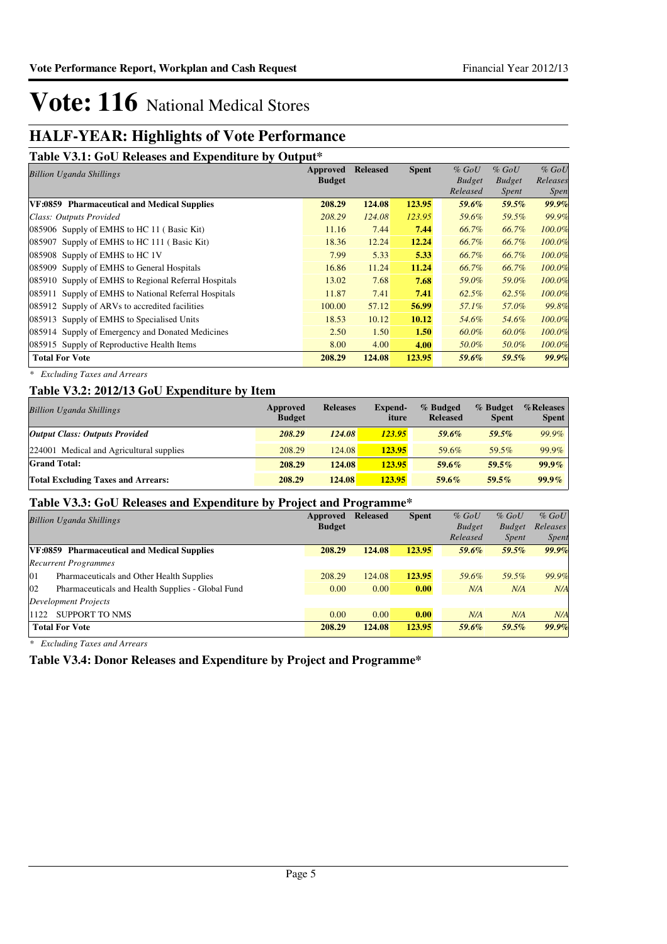## **HALF-YEAR: Highlights of Vote Performance**

#### **Table V3.1: GoU Releases and Expenditure by Output\***

| Tuole ( ett) Ove Releases and Enpendience of Output |                           |                 |              |                                      | $%$ GoU                           |
|-----------------------------------------------------|---------------------------|-----------------|--------------|--------------------------------------|-----------------------------------|
|                                                     |                           |                 |              |                                      |                                   |
|                                                     |                           |                 |              |                                      | Releases                          |
|                                                     |                           |                 |              |                                      | <i>Spen</i>                       |
| 208.29                                              | 124.08                    | 123.95          | 59.6%        | 59.5%                                | 99.9%                             |
| 208.29                                              | 124.08                    | 123.95          | 59.6%        | 59.5%                                | 99.9%                             |
| 11.16                                               | 7.44                      | 7.44            | 66.7%        | 66.7%                                | 100.0%                            |
| 18.36                                               | 12.24                     | 12.24           | 66.7%        | 66.7%                                | 100.0%                            |
| 7.99                                                | 5.33                      | 5.33            | 66.7%        | 66.7%                                | 100.0%                            |
| 16.86                                               | 11.24                     | 11.24           | 66.7%        | 66.7%                                | 100.0%                            |
| 13.02                                               | 7.68                      | 7.68            | 59.0%        | 59.0%                                | 100.0%                            |
| 11.87                                               | 7.41                      | 7.41            | 62.5%        | $62.5\%$                             | 100.0%                            |
| 100.00                                              | 57.12                     | 56.99           | 57.1%        | 57.0%                                | 99.8%                             |
| 18.53                                               | 10.12                     | 10.12           | 54.6%        | 54.6%                                | 100.0%                            |
| 2.50                                                | 1.50                      | 1.50            | 60.0%        | 60.0%                                | 100.0%                            |
| 8.00                                                | 4.00                      | 4.00            | 50.0%        | 50.0%                                | 100.0%                            |
| 208.29                                              | 124.08                    | 123.95          | 59.6%        | 59.5%                                | 99.9%                             |
|                                                     | Approved<br><b>Budget</b> | <b>Released</b> | <b>Spent</b> | $%$ GoU<br><b>Budget</b><br>Released | $%$ GoU<br><b>Budget</b><br>Spent |

*\* Excluding Taxes and Arrears*

### **Table V3.2: 2012/13 GoU Expenditure by Item**

| <b>Billion Uganda Shillings</b>           | Approved<br><b>Budget</b> | <b>Releases</b> | <b>Expend-</b><br>iture | % Budged<br><b>Released</b> | % Budget<br><b>Spent</b> | %Releases<br><b>Spent</b> |
|-------------------------------------------|---------------------------|-----------------|-------------------------|-----------------------------|--------------------------|---------------------------|
| <b>Output Class: Outputs Provided</b>     | 208.29                    | 124.08          | 123.95                  | 59.6%                       | 59.5%                    | 99.9%                     |
| 224001 Medical and Agricultural supplies  | 208.29                    | 124.08          | 123.95                  | 59.6%                       | 59.5%                    | 99.9%                     |
| <b>Grand Total:</b>                       | 208.29                    | 124.08          | 123.95                  | $59.6\%$                    | $59.5\%$                 | $99.9\%$                  |
| <b>Total Excluding Taxes and Arrears:</b> | 208.29                    | 124.08          | 123.95                  | $59.6\%$                    | $59.5\%$                 | $99.9\%$                  |

### **Table V3.3: GoU Releases and Expenditure by Project and Programme\***

| $\sim$ $\sim$ $\sim$ $\sim$ $\sim$ $\sim$ $\sim$ $\sim$ |                 |              |               |               |              |
|---------------------------------------------------------|-----------------|--------------|---------------|---------------|--------------|
| Approved                                                | <b>Released</b> | <b>Spent</b> | $%$ GoU       | $%$ GoU       | $%$ GoU      |
| <b>Budget</b>                                           |                 |              | <b>Budget</b> | <b>Budget</b> | Releases     |
|                                                         |                 |              | Released      | <i>Spent</i>  | <i>Spent</i> |
| 208.29                                                  | 124.08          | 123.95       | 59.6%         | 59.5%         | 99.9%        |
|                                                         |                 |              |               |               |              |
| 208.29                                                  | 124.08          | 123.95       | 59.6%         | 59.5%         | 99.9%        |
| 0.00                                                    | 0.00            | 0.00         | N/A           | N/A           | N/A          |
|                                                         |                 |              |               |               |              |
| 0.00                                                    | 0.00            | 0.00         | N/A           | N/A           | N/A          |
| 208.29                                                  | 124.08          | 123.95       | 59.6%         | 59.5%         | 99.9%        |
|                                                         |                 |              |               |               |              |

*\* Excluding Taxes and Arrears*

**Table V3.4: Donor Releases and Expenditure by Project and Programme\***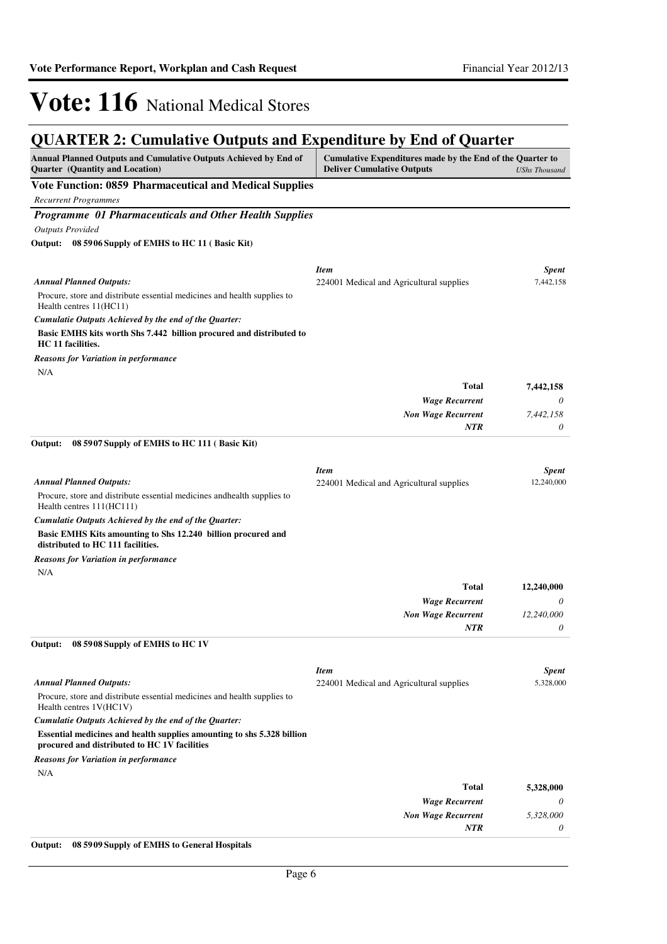#### **QUARTER 2: Cumulative Outputs and Expenditure by End of Quarter Annual Planned Outputs and Cumulative Outputs Achieved by End of Quarter (Quantity and Location) Cumulative Expenditures made by the End of the Quarter to Deliver Cumulative Outputs** *UShs Thousand* **Vote Function: 0859 Pharmaceutical and Medical Supplies** *Recurrent Programmes Programme 01 Pharmaceuticals and Other Health Supplies Outputs Provided* Procure, store and distribute essential medicines and health supplies to Health centres 11(HC11) **Basic EMHS kits worth Shs 7.442 billion procured and distributed to HC 11 facilities. 08 5906 Supply of EMHS to HC 11 ( Basic Kit) Output:** *Wage Recurrent Non Wage Recurrent* **Total** *0 7,442,158 0* **7,442,158** *Cumulatie Outputs Achieved by the end of the Quarter: Annual Planned Outputs: NTR* N/A *Reasons for Variation in performance Item Spent* 224001 Medical and Agricultural supplies 7,442,158 Procure, store and distribute essential medicines andhealth supplies to Health centres 111(HC111) **Basic EMHS Kits amounting to Shs 12.240 billion procured and distributed to HC 111 facilities. 08 5907 Supply of EMHS to HC 111 ( Basic Kit) Output:** *Wage Recurrent Non Wage Recurrent* **Total** *0 12,240,000 0* **12,240,000** *Cumulatie Outputs Achieved by the end of the Quarter: Annual Planned Outputs: NTR* N/A *Reasons for Variation in performance Item Spent* 224001 Medical and Agricultural supplies 12,240,000 Procure, store and distribute essential medicines and health supplies to Health centres 1V(HC1V) **Essential medicines and health supplies amounting to shs 5.328 billion procured and distributed to HC 1V facilities 08 5908 Supply of EMHS to HC 1V Output:** *Wage Recurrent Non Wage Recurrent* **Total** *0 5,328,000 0* **5,328,000** *Cumulatie Outputs Achieved by the end of the Quarter: Annual Planned Outputs: NTR* N/A *Reasons for Variation in performance Item Spent* 224001 Medical and Agricultural supplies 5,328,000 **Output: 08 5909 Supply of EMHS to General Hospitals**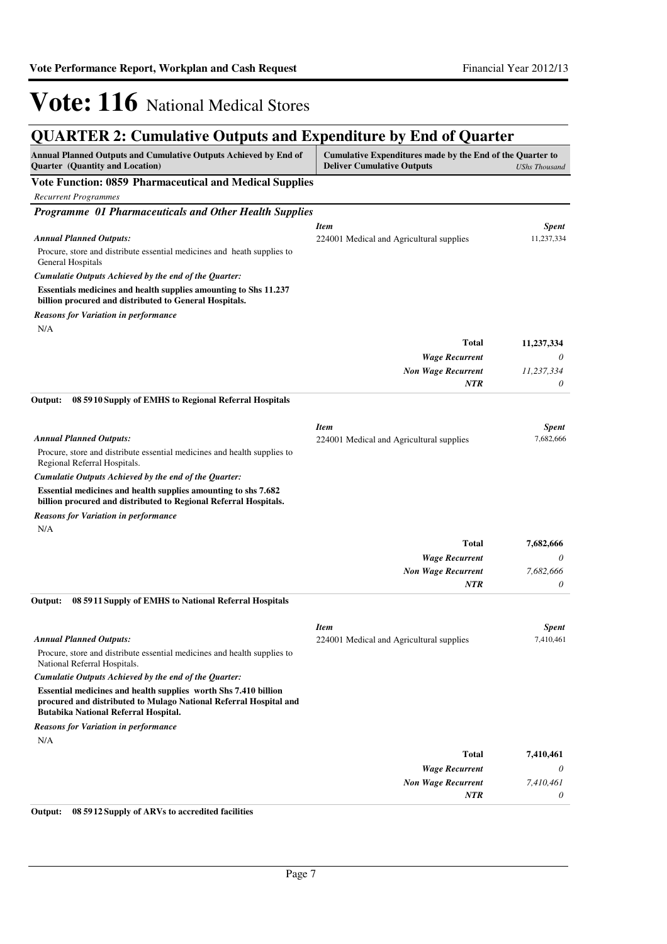## **QUARTER 2: Cumulative Outputs and Expenditure by End of Quarter**

| Annual Planned Outputs and Cumulative Outputs Achieved by End of<br><b>Quarter</b> (Quantity and Location)                                                                   | Cumulative Expenditures made by the End of the Quarter to<br><b>Deliver Cumulative Outputs</b> | <b>UShs Thousand</b> |
|------------------------------------------------------------------------------------------------------------------------------------------------------------------------------|------------------------------------------------------------------------------------------------|----------------------|
| Vote Function: 0859 Pharmaceutical and Medical Supplies                                                                                                                      |                                                                                                |                      |
| <b>Recurrent Programmes</b>                                                                                                                                                  |                                                                                                |                      |
| Programme 01 Pharmaceuticals and Other Health Supplies                                                                                                                       |                                                                                                |                      |
|                                                                                                                                                                              | <b>Item</b>                                                                                    | <b>Spent</b>         |
| <b>Annual Planned Outputs:</b>                                                                                                                                               | 224001 Medical and Agricultural supplies                                                       | 11,237,334           |
| Procure, store and distribute essential medicines and heath supplies to<br>General Hospitals                                                                                 |                                                                                                |                      |
| Cumulatie Outputs Achieved by the end of the Quarter:                                                                                                                        |                                                                                                |                      |
| Essentials medicines and health supplies amounting to Shs 11.237<br>billion procured and distributed to General Hospitals.                                                   |                                                                                                |                      |
| <b>Reasons for Variation in performance</b>                                                                                                                                  |                                                                                                |                      |
| N/A                                                                                                                                                                          |                                                                                                |                      |
|                                                                                                                                                                              | <b>Total</b>                                                                                   | 11,237,334           |
|                                                                                                                                                                              | <b>Wage Recurrent</b>                                                                          | 0                    |
|                                                                                                                                                                              | <b>Non Wage Recurrent</b><br><b>NTR</b>                                                        | 11,237,334<br>0      |
| Output:                                                                                                                                                                      |                                                                                                |                      |
| 08 59 10 Supply of EMHS to Regional Referral Hospitals                                                                                                                       |                                                                                                |                      |
|                                                                                                                                                                              | <b>Item</b>                                                                                    | <b>Spent</b>         |
| <b>Annual Planned Outputs:</b>                                                                                                                                               | 224001 Medical and Agricultural supplies                                                       | 7,682,666            |
| Procure, store and distribute essential medicines and health supplies to<br>Regional Referral Hospitals.                                                                     |                                                                                                |                      |
| Cumulatie Outputs Achieved by the end of the Quarter:                                                                                                                        |                                                                                                |                      |
| Essential medicines and health supplies amounting to shs 7.682<br>billion procured and distributed to Regional Referral Hospitals.                                           |                                                                                                |                      |
| <b>Reasons for Variation in performance</b>                                                                                                                                  |                                                                                                |                      |
| N/A                                                                                                                                                                          |                                                                                                |                      |
|                                                                                                                                                                              | <b>Total</b>                                                                                   | 7,682,666            |
|                                                                                                                                                                              | <b>Wage Recurrent</b>                                                                          | 0                    |
|                                                                                                                                                                              | <b>Non Wage Recurrent</b>                                                                      | 7,682,666            |
|                                                                                                                                                                              | <b>NTR</b>                                                                                     | 0                    |
| Output:<br>08 59 11 Supply of EMHS to National Referral Hospitals                                                                                                            |                                                                                                |                      |
|                                                                                                                                                                              | <b>Item</b>                                                                                    | <b>Spent</b>         |
| <b>Annual Planned Outputs:</b>                                                                                                                                               | 224001 Medical and Agricultural supplies                                                       | 7,410,461            |
| Procure, store and distribute essential medicines and health supplies to<br>National Referral Hospitals.                                                                     |                                                                                                |                      |
| Cumulatie Outputs Achieved by the end of the Quarter:                                                                                                                        |                                                                                                |                      |
| Essential medicines and health supplies worth Shs 7.410 billion<br>procured and distributed to Mulago National Referral Hospital and<br>Butabika National Referral Hospital. |                                                                                                |                      |
| <b>Reasons for Variation in performance</b>                                                                                                                                  |                                                                                                |                      |
| N/A                                                                                                                                                                          |                                                                                                |                      |
|                                                                                                                                                                              | <b>Total</b>                                                                                   | 7,410,461            |
|                                                                                                                                                                              | <b>Wage Recurrent</b>                                                                          | 0                    |
|                                                                                                                                                                              | <b>Non Wage Recurrent</b>                                                                      | 7,410,461            |
|                                                                                                                                                                              | NTR                                                                                            | 0                    |

**Output: 08 5912 Supply of ARVs to accredited facilities**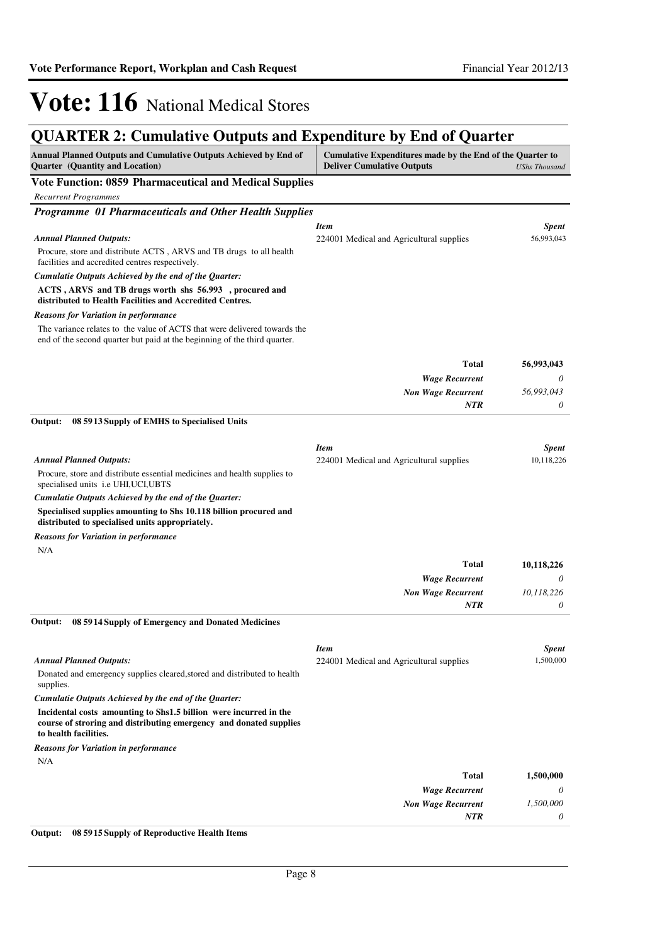## **QUARTER 2: Cumulative Outputs and Expenditure by End of Quarter**

| Annual Planned Outputs and Cumulative Outputs Achieved by End of<br>Quarter (Quantity and Location)                                                              | Cumulative Expenditures made by the End of the Quarter to<br><b>Deliver Cumulative Outputs</b> | <b>UShs Thousand</b> |
|------------------------------------------------------------------------------------------------------------------------------------------------------------------|------------------------------------------------------------------------------------------------|----------------------|
| <b>Vote Function: 0859 Pharmaceutical and Medical Supplies</b>                                                                                                   |                                                                                                |                      |
| <b>Recurrent Programmes</b>                                                                                                                                      |                                                                                                |                      |
| Programme 01 Pharmaceuticals and Other Health Supplies                                                                                                           |                                                                                                |                      |
|                                                                                                                                                                  | <b>Item</b>                                                                                    | <b>Spent</b>         |
| <b>Annual Planned Outputs:</b>                                                                                                                                   | 224001 Medical and Agricultural supplies                                                       | 56,993,043           |
| Procure, store and distribute ACTS, ARVS and TB drugs to all health<br>facilities and accredited centres respectively.                                           |                                                                                                |                      |
| Cumulatie Outputs Achieved by the end of the Quarter:                                                                                                            |                                                                                                |                      |
| ACTS, ARVS and TB drugs worth shs 56.993, procured and<br>distributed to Health Facilities and Accredited Centres.                                               |                                                                                                |                      |
| <b>Reasons for Variation in performance</b>                                                                                                                      |                                                                                                |                      |
| The variance relates to the value of ACTS that were delivered towards the<br>end of the second quarter but paid at the beginning of the third quarter.           |                                                                                                |                      |
|                                                                                                                                                                  | <b>Total</b>                                                                                   | 56,993,043           |
|                                                                                                                                                                  | <b>Wage Recurrent</b>                                                                          | 0                    |
|                                                                                                                                                                  | <b>Non Wage Recurrent</b>                                                                      | 56,993,043           |
|                                                                                                                                                                  | <b>NTR</b>                                                                                     | 0                    |
| 08 59 13 Supply of EMHS to Specialised Units<br>Output:                                                                                                          |                                                                                                |                      |
|                                                                                                                                                                  | <b>Item</b>                                                                                    | <b>Spent</b>         |
| <b>Annual Planned Outputs:</b>                                                                                                                                   | 224001 Medical and Agricultural supplies                                                       | 10,118,226           |
| Procure, store and distribute essential medicines and health supplies to<br>specialised units i.e UHI, UCI, UBTS                                                 |                                                                                                |                      |
| Cumulatie Outputs Achieved by the end of the Quarter:                                                                                                            |                                                                                                |                      |
| Specialised supplies amounting to Shs 10.118 billion procured and<br>distributed to specialised units appropriately.                                             |                                                                                                |                      |
| <b>Reasons for Variation in performance</b>                                                                                                                      |                                                                                                |                      |
| N/A                                                                                                                                                              |                                                                                                |                      |
|                                                                                                                                                                  | <b>Total</b>                                                                                   | 10,118,226           |
|                                                                                                                                                                  | <b>Wage Recurrent</b><br><b>Non Wage Recurrent</b>                                             | 0<br>10,118,226      |
|                                                                                                                                                                  | <b>NTR</b>                                                                                     | 0                    |
| Output:<br>08 59 14 Supply of Emergency and Donated Medicines                                                                                                    |                                                                                                |                      |
|                                                                                                                                                                  | <b>Item</b>                                                                                    | <b>Spent</b>         |
| <b>Annual Planned Outputs:</b>                                                                                                                                   | 224001 Medical and Agricultural supplies                                                       | 1,500,000            |
| Donated and emergency supplies cleared, stored and distributed to health<br>supplies.                                                                            |                                                                                                |                      |
| Cumulatie Outputs Achieved by the end of the Quarter:                                                                                                            |                                                                                                |                      |
| Incidental costs amounting to Shs1.5 billion were incurred in the<br>course of stroring and distributing emergency and donated supplies<br>to health facilities. |                                                                                                |                      |
| <b>Reasons for Variation in performance</b>                                                                                                                      |                                                                                                |                      |
| N/A                                                                                                                                                              |                                                                                                |                      |
|                                                                                                                                                                  | <b>Total</b>                                                                                   | 1,500,000            |
|                                                                                                                                                                  | <b>Wage Recurrent</b>                                                                          | 0                    |
|                                                                                                                                                                  | <b>Non Wage Recurrent</b><br>NTR                                                               | 1,500,000<br>0       |
|                                                                                                                                                                  |                                                                                                |                      |

**Output: 08 5915 Supply of Reproductive Health Items**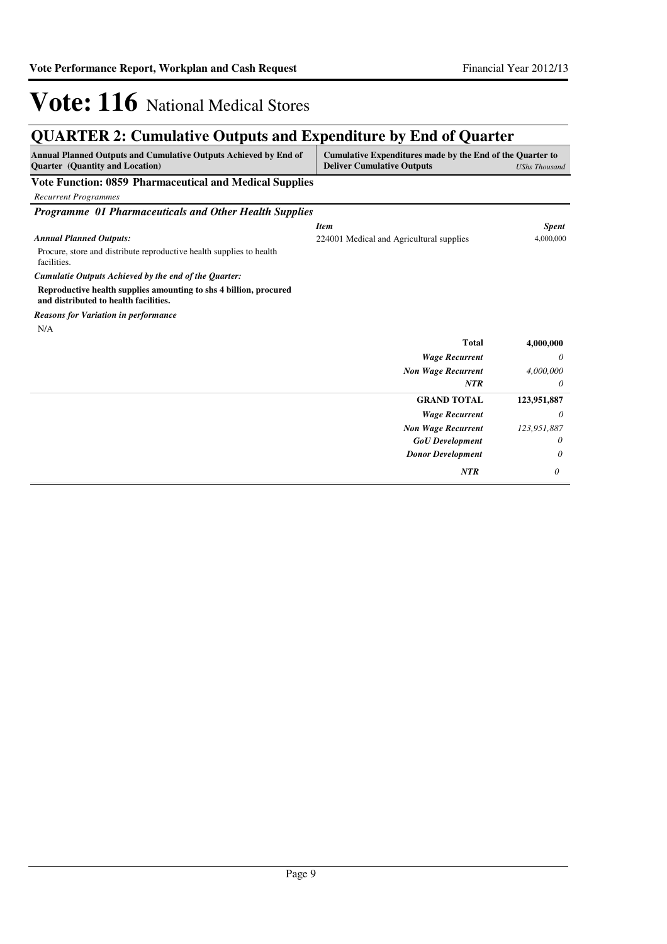## **QUARTER 2: Cumulative Outputs and Expenditure by End of Quarter**

| Annual Planned Outputs and Cumulative Outputs Achieved by End of<br><b>Ouarter</b> (Quantity and Location) | Cumulative Expenditures made by the End of the Quarter to<br><b>Deliver Cumulative Outputs</b> | <b>UShs Thousand</b> |
|------------------------------------------------------------------------------------------------------------|------------------------------------------------------------------------------------------------|----------------------|
| <b>Vote Function: 0859 Pharmaceutical and Medical Supplies</b>                                             |                                                                                                |                      |
| <b>Recurrent Programmes</b>                                                                                |                                                                                                |                      |
| <b>Programme 01 Pharmaceuticals and Other Health Supplies</b>                                              |                                                                                                |                      |
|                                                                                                            | <b>Item</b>                                                                                    | <b>Spent</b>         |
| <b>Annual Planned Outputs:</b>                                                                             | 224001 Medical and Agricultural supplies                                                       | 4,000,000            |
| Procure, store and distribute reproductive health supplies to health<br>facilities.                        |                                                                                                |                      |
| Cumulatie Outputs Achieved by the end of the Quarter:                                                      |                                                                                                |                      |
| Reproductive health supplies amounting to shs 4 billion, procured<br>and distributed to health facilities. |                                                                                                |                      |
| <b>Reasons for Variation in performance</b>                                                                |                                                                                                |                      |
| N/A                                                                                                        |                                                                                                |                      |
|                                                                                                            | <b>Total</b>                                                                                   | 4,000,000            |
|                                                                                                            | <b>Wage Recurrent</b>                                                                          | 0                    |
|                                                                                                            | <b>Non Wage Recurrent</b>                                                                      | 4,000,000            |
|                                                                                                            | <b>NTR</b>                                                                                     | 0                    |
|                                                                                                            | <b>GRAND TOTAL</b>                                                                             | 123,951,887          |
|                                                                                                            | <b>Wage Recurrent</b>                                                                          | 0                    |
|                                                                                                            | <b>Non Wage Recurrent</b>                                                                      | 123,951,887          |
|                                                                                                            | <b>GoU</b> Development                                                                         | 0                    |
|                                                                                                            | <b>Donor Development</b>                                                                       | 0                    |
|                                                                                                            | <b>NTR</b>                                                                                     | 0                    |
|                                                                                                            |                                                                                                |                      |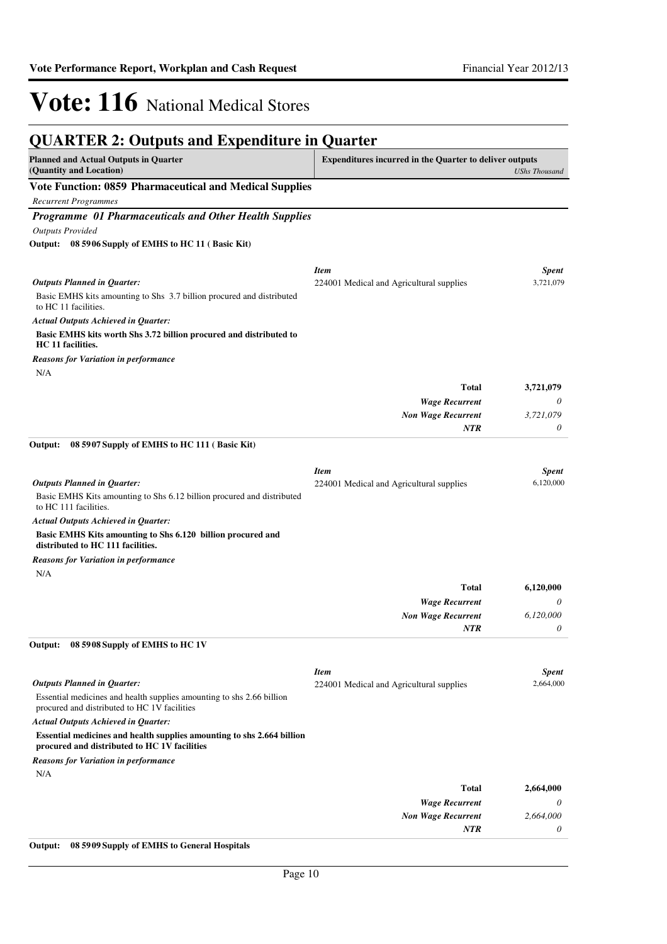| <b>QUARTER 2: Outputs and Expenditure in Quarter</b>                                                                   |                                                                |                      |
|------------------------------------------------------------------------------------------------------------------------|----------------------------------------------------------------|----------------------|
| <b>Planned and Actual Outputs in Quarter</b><br>(Quantity and Location)                                                | <b>Expenditures incurred in the Quarter to deliver outputs</b> | <b>UShs Thousand</b> |
| Vote Function: 0859 Pharmaceutical and Medical Supplies                                                                |                                                                |                      |
| <b>Recurrent Programmes</b>                                                                                            |                                                                |                      |
| Programme 01 Pharmaceuticals and Other Health Supplies                                                                 |                                                                |                      |
| <b>Outputs Provided</b>                                                                                                |                                                                |                      |
| Output: 08 5906 Supply of EMHS to HC 11 (Basic Kit)                                                                    |                                                                |                      |
|                                                                                                                        | <b>Item</b>                                                    | <b>Spent</b>         |
| <b>Outputs Planned in Quarter:</b>                                                                                     | 224001 Medical and Agricultural supplies                       | 3,721,079            |
| Basic EMHS kits amounting to Shs 3.7 billion procured and distributed<br>to HC 11 facilities.                          |                                                                |                      |
| Actual Outputs Achieved in Quarter:                                                                                    |                                                                |                      |
| Basic EMHS kits worth Shs 3.72 billion procured and distributed to<br>HC 11 facilities.                                |                                                                |                      |
| <b>Reasons for Variation in performance</b><br>N/A                                                                     |                                                                |                      |
|                                                                                                                        | <b>Total</b>                                                   | 3,721,079            |
|                                                                                                                        | <b>Wage Recurrent</b>                                          | 0                    |
|                                                                                                                        | <b>Non Wage Recurrent</b>                                      | 3,721,079            |
|                                                                                                                        | NTR                                                            | 0                    |
| Output:<br>08 5907 Supply of EMHS to HC 111 (Basic Kit)                                                                |                                                                |                      |
|                                                                                                                        | <b>Item</b>                                                    | <b>Spent</b>         |
| <b>Outputs Planned in Quarter:</b>                                                                                     | 224001 Medical and Agricultural supplies                       | 6,120,000            |
| Basic EMHS Kits amounting to Shs 6.12 billion procured and distributed<br>to HC 111 facilities.                        |                                                                |                      |
| <b>Actual Outputs Achieved in Quarter:</b>                                                                             |                                                                |                      |
| Basic EMHS Kits amounting to Shs 6.120 billion procured and<br>distributed to HC 111 facilities.                       |                                                                |                      |
| <b>Reasons for Variation in performance</b>                                                                            |                                                                |                      |
| N/A                                                                                                                    |                                                                |                      |
|                                                                                                                        | <b>Total</b>                                                   | 6,120,000            |
|                                                                                                                        | <b>Wage Recurrent</b>                                          | 0                    |
|                                                                                                                        | <b>Non Wage Recurrent</b><br><b>NTR</b>                        | 6,120,000<br>0       |
| 08 5908 Supply of EMHS to HC 1V<br>Output:                                                                             |                                                                |                      |
|                                                                                                                        |                                                                |                      |
|                                                                                                                        | <b>Item</b>                                                    | <b>Spent</b>         |
| <b>Outputs Planned in Quarter:</b><br>Essential medicines and health supplies amounting to shs 2.66 billion            | 224001 Medical and Agricultural supplies                       | 2,664,000            |
| procured and distributed to HC 1V facilities<br><b>Actual Outputs Achieved in Quarter:</b>                             |                                                                |                      |
| Essential medicines and health supplies amounting to shs 2.664 billion<br>procured and distributed to HC 1V facilities |                                                                |                      |
| <b>Reasons for Variation in performance</b>                                                                            |                                                                |                      |
| N/A                                                                                                                    |                                                                |                      |
|                                                                                                                        | Total                                                          | 2,664,000            |
|                                                                                                                        | <b>Wage Recurrent</b>                                          | 0                    |
|                                                                                                                        | <b>Non Wage Recurrent</b>                                      | 2,664,000            |
|                                                                                                                        | NTR                                                            | 0                    |
|                                                                                                                        |                                                                |                      |

**Output: 08 5909 Supply of EMHS to General Hospitals**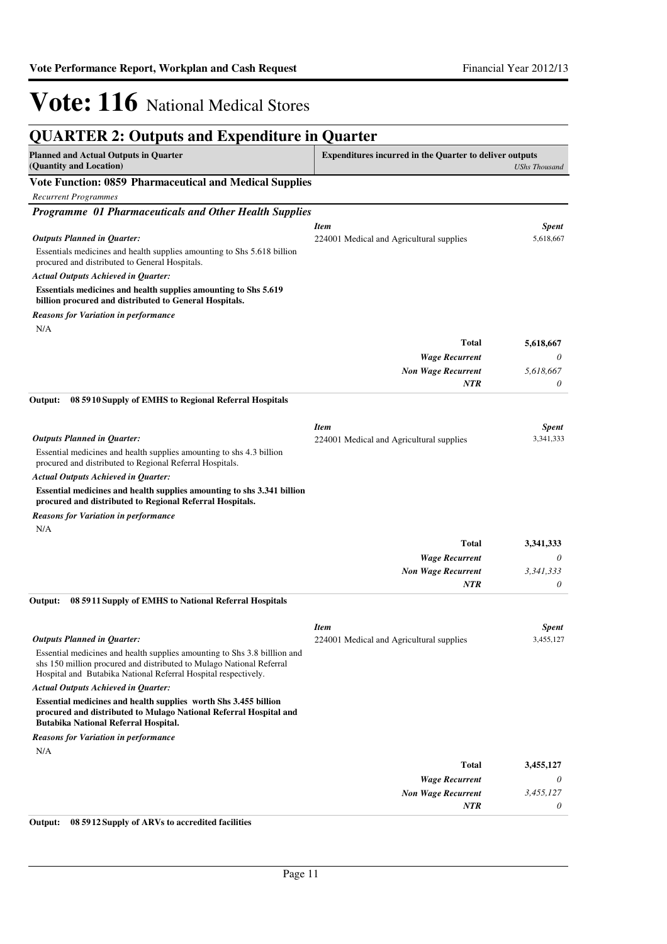| <b>QUARTER 2: Outputs and Expenditure in Quarter</b>                                                                                                                                                               |                                                                |                      |
|--------------------------------------------------------------------------------------------------------------------------------------------------------------------------------------------------------------------|----------------------------------------------------------------|----------------------|
| <b>Planned and Actual Outputs in Quarter</b><br>(Quantity and Location)                                                                                                                                            | <b>Expenditures incurred in the Quarter to deliver outputs</b> | <b>UShs Thousand</b> |
| <b>Vote Function: 0859 Pharmaceutical and Medical Supplies</b>                                                                                                                                                     |                                                                |                      |
| <b>Recurrent Programmes</b>                                                                                                                                                                                        |                                                                |                      |
| Programme 01 Pharmaceuticals and Other Health Supplies                                                                                                                                                             |                                                                |                      |
|                                                                                                                                                                                                                    | <b>Item</b>                                                    | <b>Spent</b>         |
| <b>Outputs Planned in Quarter:</b>                                                                                                                                                                                 | 224001 Medical and Agricultural supplies                       | 5,618,667            |
| Essentials medicines and health supplies amounting to Shs 5.618 billion<br>procured and distributed to General Hospitals.                                                                                          |                                                                |                      |
| <b>Actual Outputs Achieved in Quarter:</b>                                                                                                                                                                         |                                                                |                      |
| Essentials medicines and health supplies amounting to Shs 5.619<br>billion procured and distributed to General Hospitals.                                                                                          |                                                                |                      |
| <b>Reasons for Variation in performance</b>                                                                                                                                                                        |                                                                |                      |
| N/A                                                                                                                                                                                                                |                                                                |                      |
|                                                                                                                                                                                                                    | <b>Total</b>                                                   | 5,618,667            |
|                                                                                                                                                                                                                    | <b>Wage Recurrent</b>                                          | 0                    |
|                                                                                                                                                                                                                    | <b>Non Wage Recurrent</b>                                      | 5,618,667            |
|                                                                                                                                                                                                                    | <b>NTR</b>                                                     | 0                    |
| Output:<br>08 5910 Supply of EMHS to Regional Referral Hospitals                                                                                                                                                   |                                                                |                      |
|                                                                                                                                                                                                                    | <b>Item</b>                                                    | <b>Spent</b>         |
| <b>Outputs Planned in Quarter:</b>                                                                                                                                                                                 | 224001 Medical and Agricultural supplies                       | 3,341,333            |
| Essential medicines and health supplies amounting to shs 4.3 billion<br>procured and distributed to Regional Referral Hospitals.                                                                                   |                                                                |                      |
| <b>Actual Outputs Achieved in Quarter:</b>                                                                                                                                                                         |                                                                |                      |
| Essential medicines and health supplies amounting to shs 3.341 billion<br>procured and distributed to Regional Referral Hospitals.                                                                                 |                                                                |                      |
| <b>Reasons for Variation in performance</b>                                                                                                                                                                        |                                                                |                      |
| N/A                                                                                                                                                                                                                |                                                                |                      |
|                                                                                                                                                                                                                    | <b>Total</b>                                                   | 3,341,333            |
|                                                                                                                                                                                                                    | <b>Wage Recurrent</b>                                          | 0                    |
|                                                                                                                                                                                                                    | <b>Non Wage Recurrent</b>                                      | 3,341,333            |
|                                                                                                                                                                                                                    | NTR                                                            | 0                    |
| Output:<br>08 5911 Supply of EMHS to National Referral Hospitals                                                                                                                                                   |                                                                |                      |
|                                                                                                                                                                                                                    | <b>Item</b>                                                    | <b>Spent</b>         |
| <b>Outputs Planned in Quarter:</b>                                                                                                                                                                                 | 224001 Medical and Agricultural supplies                       | 3,455,127            |
| Essential medicines and health supplies amounting to Shs 3.8 billion and<br>shs 150 million procured and distributed to Mulago National Referral<br>Hospital and Butabika National Referral Hospital respectively. |                                                                |                      |
| <b>Actual Outputs Achieved in Quarter:</b>                                                                                                                                                                         |                                                                |                      |
| Essential medicines and health supplies worth Shs 3.455 billion<br>procured and distributed to Mulago National Referral Hospital and<br>Butabika National Referral Hospital.                                       |                                                                |                      |
| <b>Reasons for Variation in performance</b>                                                                                                                                                                        |                                                                |                      |
| N/A                                                                                                                                                                                                                |                                                                |                      |
|                                                                                                                                                                                                                    | <b>Total</b>                                                   | 3,455,127            |
|                                                                                                                                                                                                                    | <b>Wage Recurrent</b>                                          | 0                    |
|                                                                                                                                                                                                                    | <b>Non Wage Recurrent</b>                                      | 3,455,127            |
|                                                                                                                                                                                                                    | NTR                                                            | 0                    |
|                                                                                                                                                                                                                    |                                                                |                      |

**Output: 08 5912 Supply of ARVs to accredited facilities**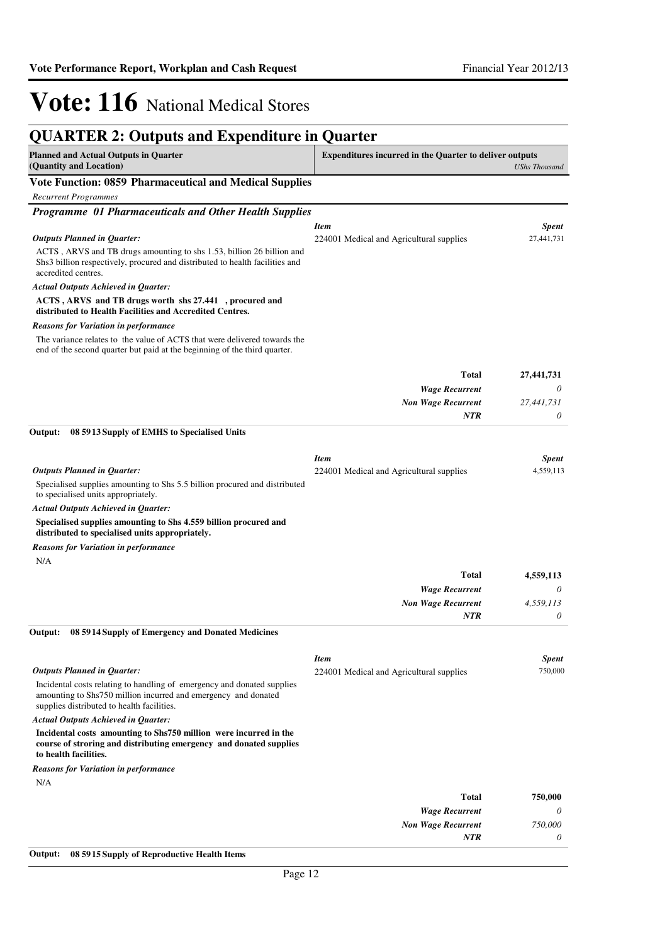| <b>QUARTER 2: Outputs and Expenditure in Quarter</b>                                                                                                                                    |                                                                |                      |
|-----------------------------------------------------------------------------------------------------------------------------------------------------------------------------------------|----------------------------------------------------------------|----------------------|
| <b>Planned and Actual Outputs in Quarter</b><br>(Quantity and Location)                                                                                                                 | <b>Expenditures incurred in the Quarter to deliver outputs</b> | <b>UShs Thousand</b> |
| <b>Vote Function: 0859 Pharmaceutical and Medical Supplies</b>                                                                                                                          |                                                                |                      |
| <b>Recurrent Programmes</b>                                                                                                                                                             |                                                                |                      |
| Programme 01 Pharmaceuticals and Other Health Supplies                                                                                                                                  |                                                                |                      |
|                                                                                                                                                                                         | <b>Item</b>                                                    | <b>Spent</b>         |
| <b>Outputs Planned in Quarter:</b>                                                                                                                                                      | 224001 Medical and Agricultural supplies                       | 27,441,731           |
| ACTS, ARVS and TB drugs amounting to sha 1.53, billion 26 billion and<br>Shs3 billion respectively, procured and distributed to health facilities and<br>accredited centres.            |                                                                |                      |
| Actual Outputs Achieved in Quarter:                                                                                                                                                     |                                                                |                      |
| ACTS, ARVS and TB drugs worth shs 27.441, procured and<br>distributed to Health Facilities and Accredited Centres.                                                                      |                                                                |                      |
| <b>Reasons for Variation in performance</b>                                                                                                                                             |                                                                |                      |
| The variance relates to the value of ACTS that were delivered towards the<br>end of the second quarter but paid at the beginning of the third quarter.                                  |                                                                |                      |
|                                                                                                                                                                                         | <b>Total</b>                                                   | 27,441,731           |
|                                                                                                                                                                                         | <b>Wage Recurrent</b>                                          | 0                    |
|                                                                                                                                                                                         | <b>Non Wage Recurrent</b>                                      | 27,441,731           |
|                                                                                                                                                                                         | <b>NTR</b>                                                     | 0                    |
| Output:<br>08 5913 Supply of EMHS to Specialised Units                                                                                                                                  |                                                                |                      |
|                                                                                                                                                                                         | <b>Item</b>                                                    | <b>Spent</b>         |
| <b>Outputs Planned in Quarter:</b>                                                                                                                                                      | 224001 Medical and Agricultural supplies                       | 4,559,113            |
| Specialised supplies amounting to Shs 5.5 billion procured and distributed<br>to specialised units appropriately.                                                                       |                                                                |                      |
| Actual Outputs Achieved in Quarter:                                                                                                                                                     |                                                                |                      |
| Specialised supplies amounting to Shs 4.559 billion procured and<br>distributed to specialised units appropriately.                                                                     |                                                                |                      |
| <b>Reasons for Variation in performance</b><br>N/A                                                                                                                                      |                                                                |                      |
|                                                                                                                                                                                         | <b>Total</b>                                                   | 4,559,113            |
|                                                                                                                                                                                         | <b>Wage Recurrent</b>                                          | 0                    |
|                                                                                                                                                                                         | <b>Non Wage Recurrent</b>                                      | 4,559,113            |
|                                                                                                                                                                                         | <b>NTR</b>                                                     | 0                    |
| Output: 08 5914 Supply of Emergency and Donated Medicines                                                                                                                               |                                                                |                      |
|                                                                                                                                                                                         | <b>Item</b>                                                    | <b>Spent</b>         |
| <b>Outputs Planned in Quarter:</b>                                                                                                                                                      | 224001 Medical and Agricultural supplies                       | 750,000              |
| Incidental costs relating to handling of emergency and donated supplies<br>amounting to Shs750 million incurred and emergency and donated<br>supplies distributed to health facilities. |                                                                |                      |
| <b>Actual Outputs Achieved in Quarter:</b>                                                                                                                                              |                                                                |                      |
| Incidental costs amounting to Shs750 million were incurred in the<br>course of stroring and distributing emergency and donated supplies<br>to health facilities.                        |                                                                |                      |
| <b>Reasons for Variation in performance</b>                                                                                                                                             |                                                                |                      |
| N/A                                                                                                                                                                                     |                                                                |                      |
|                                                                                                                                                                                         | <b>Total</b>                                                   | 750,000              |
|                                                                                                                                                                                         | <b>Wage Recurrent</b>                                          | 0                    |
|                                                                                                                                                                                         | <b>Non Wage Recurrent</b>                                      | 750,000              |
|                                                                                                                                                                                         | <b>NTR</b>                                                     | 0                    |
| Output:<br>08 5915 Supply of Reproductive Health Items                                                                                                                                  |                                                                |                      |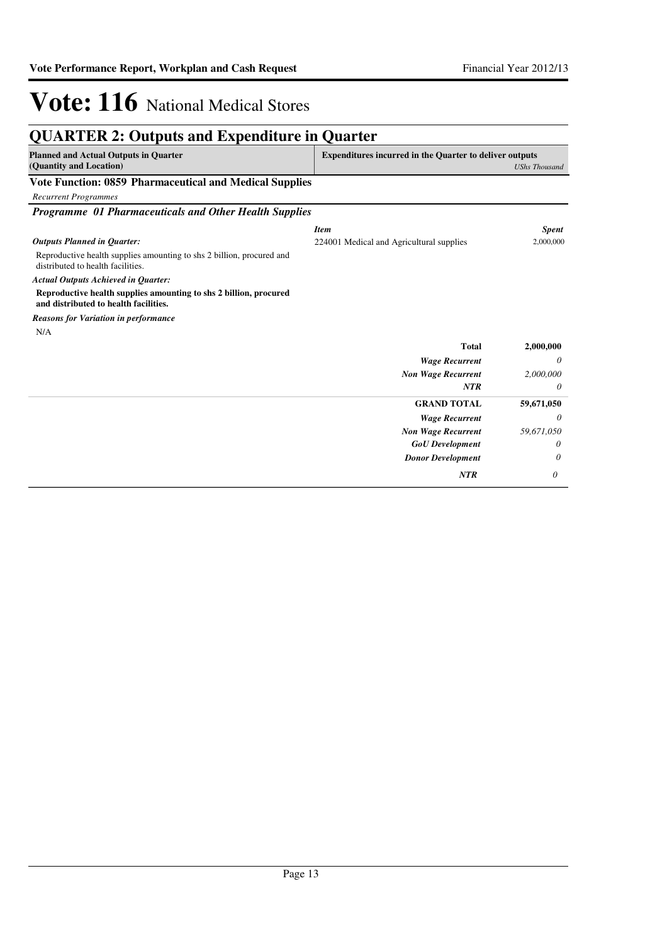#### **QUARTER 2: Outputs and Expenditure in Quarter Planned and Actual Outputs in Quarter (Quantity and Location) Expenditures incurred in the Quarter to deliver outputs**  *UShs Thousand* **Vote Function: 0859 Pharmaceutical and Medical Supplies** *Recurrent Programmes Programme 01 Pharmaceuticals and Other Health Supplies* Reproductive health supplies amounting to shs 2 billion, procured and distributed to health facilities. **Reproductive health supplies amounting to shs 2 billion, procured and distributed to health facilities.** *Wage Recurrent Non Wage Recurrent* **Total** *0 2,000,000 0* **2,000,000** *Actual Outputs Achieved in Quarter: Outputs Planned in Quarter: NTR* N/A *Reasons for Variation in performance Item Spent* 224001 Medical and Agricultural supplies 2,000,000 *Wage Recurrent Non Wage Recurrent* **GRAND TOTAL** *0 59,671,050* **59,671,050** *GoU Development Donor Development 0 0 NTR 0*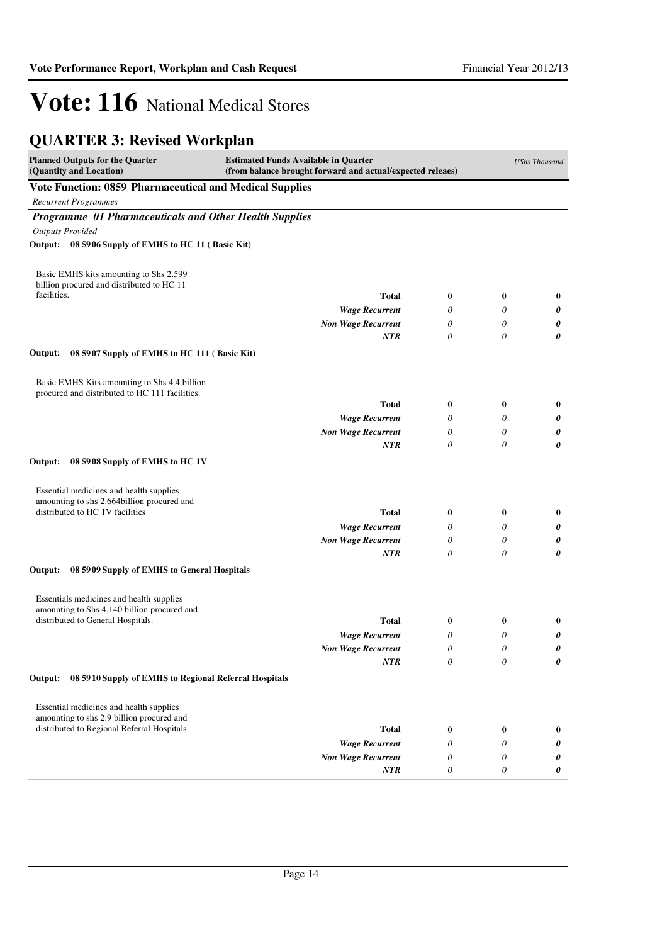| <b>Planned Outputs for the Quarter</b><br><b>Estimated Funds Available in Quarter</b><br>(Quantity and Location)<br>(from balance brought forward and actual/expected releaes)<br>Vote Function: 0859 Pharmaceutical and Medical Supplies<br><b>Recurrent Programmes</b><br>Programme 01 Pharmaceuticals and Other Health Supplies<br><b>Outputs Provided</b><br>08 5906 Supply of EMHS to HC 11 (Basic Kit)<br>Output:<br>Basic EMHS kits amounting to Shs 2.599<br>billion procured and distributed to HC 11<br>facilities.<br><b>Total</b><br>$\bf{0}$<br>$\bf{0}$<br><b>Wage Recurrent</b><br>0<br>0<br><b>Non Wage Recurrent</b><br>$\theta$<br>0<br>$\boldsymbol{\theta}$<br>0<br><b>NTR</b><br>Output:<br>08 5907 Supply of EMHS to HC 111 (Basic Kit)<br>Basic EMHS Kits amounting to Shs 4.4 billion<br>procured and distributed to HC 111 facilities.<br><b>Total</b><br>$\bf{0}$<br>$\bf{0}$<br><b>Wage Recurrent</b><br>0<br>0<br>$\theta$<br>0<br><b>Non Wage Recurrent</b><br><b>NTR</b><br>$\theta$<br>$\theta$<br>Output:<br>08 5908 Supply of EMHS to HC 1V | <b>UShs Thousand</b> |
|------------------------------------------------------------------------------------------------------------------------------------------------------------------------------------------------------------------------------------------------------------------------------------------------------------------------------------------------------------------------------------------------------------------------------------------------------------------------------------------------------------------------------------------------------------------------------------------------------------------------------------------------------------------------------------------------------------------------------------------------------------------------------------------------------------------------------------------------------------------------------------------------------------------------------------------------------------------------------------------------------------------------------------------------------------------------------|----------------------|
|                                                                                                                                                                                                                                                                                                                                                                                                                                                                                                                                                                                                                                                                                                                                                                                                                                                                                                                                                                                                                                                                              |                      |
|                                                                                                                                                                                                                                                                                                                                                                                                                                                                                                                                                                                                                                                                                                                                                                                                                                                                                                                                                                                                                                                                              |                      |
|                                                                                                                                                                                                                                                                                                                                                                                                                                                                                                                                                                                                                                                                                                                                                                                                                                                                                                                                                                                                                                                                              |                      |
|                                                                                                                                                                                                                                                                                                                                                                                                                                                                                                                                                                                                                                                                                                                                                                                                                                                                                                                                                                                                                                                                              |                      |
|                                                                                                                                                                                                                                                                                                                                                                                                                                                                                                                                                                                                                                                                                                                                                                                                                                                                                                                                                                                                                                                                              |                      |
|                                                                                                                                                                                                                                                                                                                                                                                                                                                                                                                                                                                                                                                                                                                                                                                                                                                                                                                                                                                                                                                                              |                      |
|                                                                                                                                                                                                                                                                                                                                                                                                                                                                                                                                                                                                                                                                                                                                                                                                                                                                                                                                                                                                                                                                              |                      |
|                                                                                                                                                                                                                                                                                                                                                                                                                                                                                                                                                                                                                                                                                                                                                                                                                                                                                                                                                                                                                                                                              |                      |
|                                                                                                                                                                                                                                                                                                                                                                                                                                                                                                                                                                                                                                                                                                                                                                                                                                                                                                                                                                                                                                                                              | 0                    |
|                                                                                                                                                                                                                                                                                                                                                                                                                                                                                                                                                                                                                                                                                                                                                                                                                                                                                                                                                                                                                                                                              | 0                    |
|                                                                                                                                                                                                                                                                                                                                                                                                                                                                                                                                                                                                                                                                                                                                                                                                                                                                                                                                                                                                                                                                              | 0                    |
|                                                                                                                                                                                                                                                                                                                                                                                                                                                                                                                                                                                                                                                                                                                                                                                                                                                                                                                                                                                                                                                                              | 0                    |
|                                                                                                                                                                                                                                                                                                                                                                                                                                                                                                                                                                                                                                                                                                                                                                                                                                                                                                                                                                                                                                                                              |                      |
|                                                                                                                                                                                                                                                                                                                                                                                                                                                                                                                                                                                                                                                                                                                                                                                                                                                                                                                                                                                                                                                                              |                      |
|                                                                                                                                                                                                                                                                                                                                                                                                                                                                                                                                                                                                                                                                                                                                                                                                                                                                                                                                                                                                                                                                              |                      |
|                                                                                                                                                                                                                                                                                                                                                                                                                                                                                                                                                                                                                                                                                                                                                                                                                                                                                                                                                                                                                                                                              | 0                    |
|                                                                                                                                                                                                                                                                                                                                                                                                                                                                                                                                                                                                                                                                                                                                                                                                                                                                                                                                                                                                                                                                              | 0                    |
|                                                                                                                                                                                                                                                                                                                                                                                                                                                                                                                                                                                                                                                                                                                                                                                                                                                                                                                                                                                                                                                                              | 0                    |
|                                                                                                                                                                                                                                                                                                                                                                                                                                                                                                                                                                                                                                                                                                                                                                                                                                                                                                                                                                                                                                                                              | 0                    |
|                                                                                                                                                                                                                                                                                                                                                                                                                                                                                                                                                                                                                                                                                                                                                                                                                                                                                                                                                                                                                                                                              |                      |
| Essential medicines and health supplies                                                                                                                                                                                                                                                                                                                                                                                                                                                                                                                                                                                                                                                                                                                                                                                                                                                                                                                                                                                                                                      |                      |
| amounting to shs 2.664billion procured and                                                                                                                                                                                                                                                                                                                                                                                                                                                                                                                                                                                                                                                                                                                                                                                                                                                                                                                                                                                                                                   |                      |
| distributed to HC 1V facilities<br><b>Total</b><br>$\bf{0}$<br>$\bf{0}$                                                                                                                                                                                                                                                                                                                                                                                                                                                                                                                                                                                                                                                                                                                                                                                                                                                                                                                                                                                                      | $\bf{0}$             |
| <b>Wage Recurrent</b><br>0<br>0                                                                                                                                                                                                                                                                                                                                                                                                                                                                                                                                                                                                                                                                                                                                                                                                                                                                                                                                                                                                                                              | 0                    |
| $\theta$<br>0<br><b>Non Wage Recurrent</b><br>NTR<br>0<br>0                                                                                                                                                                                                                                                                                                                                                                                                                                                                                                                                                                                                                                                                                                                                                                                                                                                                                                                                                                                                                  | 0<br>0               |
| 08 5909 Supply of EMHS to General Hospitals<br>Output:                                                                                                                                                                                                                                                                                                                                                                                                                                                                                                                                                                                                                                                                                                                                                                                                                                                                                                                                                                                                                       |                      |
|                                                                                                                                                                                                                                                                                                                                                                                                                                                                                                                                                                                                                                                                                                                                                                                                                                                                                                                                                                                                                                                                              |                      |
| Essentials medicines and health supplies                                                                                                                                                                                                                                                                                                                                                                                                                                                                                                                                                                                                                                                                                                                                                                                                                                                                                                                                                                                                                                     |                      |
| amounting to Shs 4.140 billion procured and<br>distributed to General Hospitals.<br><b>Total</b><br>$\bf{0}$<br>0                                                                                                                                                                                                                                                                                                                                                                                                                                                                                                                                                                                                                                                                                                                                                                                                                                                                                                                                                            | 0                    |
| <b>Wage Recurrent</b><br>0<br>0                                                                                                                                                                                                                                                                                                                                                                                                                                                                                                                                                                                                                                                                                                                                                                                                                                                                                                                                                                                                                                              | 0                    |
| $\theta$<br>$\boldsymbol{\theta}$<br><b>Non Wage Recurrent</b>                                                                                                                                                                                                                                                                                                                                                                                                                                                                                                                                                                                                                                                                                                                                                                                                                                                                                                                                                                                                               | 0                    |
| <b>NTR</b><br>$\boldsymbol{\theta}$<br>$\theta$                                                                                                                                                                                                                                                                                                                                                                                                                                                                                                                                                                                                                                                                                                                                                                                                                                                                                                                                                                                                                              | 0                    |
| 08 5910 Supply of EMHS to Regional Referral Hospitals<br>Output:                                                                                                                                                                                                                                                                                                                                                                                                                                                                                                                                                                                                                                                                                                                                                                                                                                                                                                                                                                                                             |                      |
|                                                                                                                                                                                                                                                                                                                                                                                                                                                                                                                                                                                                                                                                                                                                                                                                                                                                                                                                                                                                                                                                              |                      |
| Essential medicines and health supplies<br>amounting to shs 2.9 billion procured and                                                                                                                                                                                                                                                                                                                                                                                                                                                                                                                                                                                                                                                                                                                                                                                                                                                                                                                                                                                         |                      |
| distributed to Regional Referral Hospitals.<br><b>Total</b><br>$\bf{0}$<br>$\bf{0}$                                                                                                                                                                                                                                                                                                                                                                                                                                                                                                                                                                                                                                                                                                                                                                                                                                                                                                                                                                                          | 0                    |
| <b>Wage Recurrent</b><br>0<br>0                                                                                                                                                                                                                                                                                                                                                                                                                                                                                                                                                                                                                                                                                                                                                                                                                                                                                                                                                                                                                                              | 0                    |
| <b>Non Wage Recurrent</b><br>0<br>0                                                                                                                                                                                                                                                                                                                                                                                                                                                                                                                                                                                                                                                                                                                                                                                                                                                                                                                                                                                                                                          | 0                    |
| <b>NTR</b><br>$\theta$<br>0                                                                                                                                                                                                                                                                                                                                                                                                                                                                                                                                                                                                                                                                                                                                                                                                                                                                                                                                                                                                                                                  | 0                    |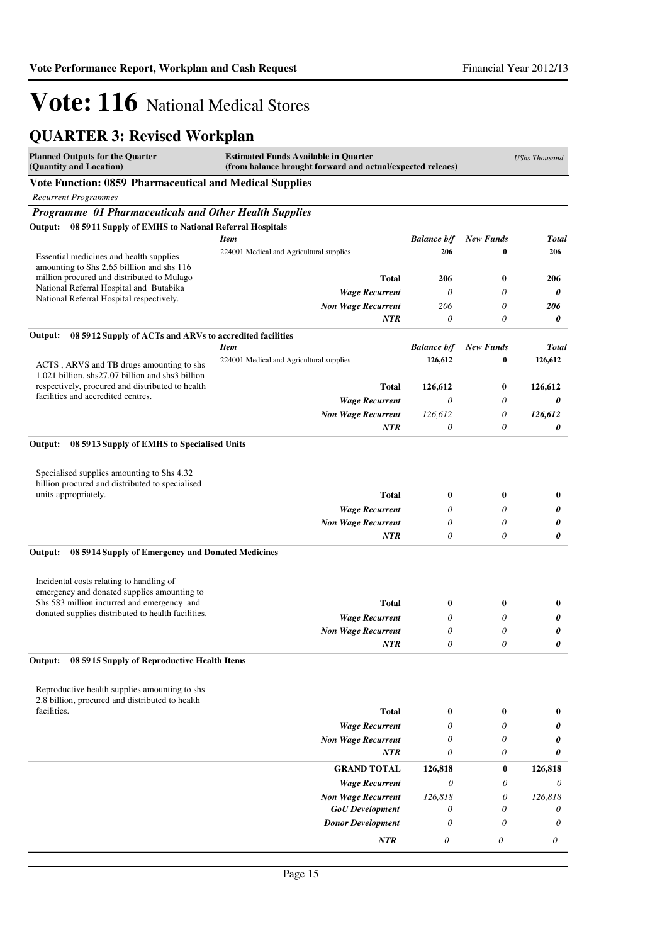## **QUARTER 3: Revised Workplan**

| 0111112110, 110, 1500 110111                                                                 |                                                                                                           |                    |                           |                      |
|----------------------------------------------------------------------------------------------|-----------------------------------------------------------------------------------------------------------|--------------------|---------------------------|----------------------|
| <b>Planned Outputs for the Quarter</b><br>(Quantity and Location)                            | <b>Estimated Funds Available in Quarter</b><br>(from balance brought forward and actual/expected releaes) |                    |                           | <b>UShs Thousand</b> |
| Vote Function: 0859 Pharmaceutical and Medical Supplies                                      |                                                                                                           |                    |                           |                      |
| <b>Recurrent Programmes</b>                                                                  |                                                                                                           |                    |                           |                      |
| Programme 01 Pharmaceuticals and Other Health Supplies                                       |                                                                                                           |                    |                           |                      |
| Output: 08 5911 Supply of EMHS to National Referral Hospitals                                |                                                                                                           |                    |                           |                      |
|                                                                                              | <b>Item</b>                                                                                               | <b>Balance b/f</b> | <b>New Funds</b>          | <b>Total</b>         |
| Essential medicines and health supplies                                                      | 224001 Medical and Agricultural supplies                                                                  | 206                | 0                         | 206                  |
| amounting to Shs 2.65 billion and shs 116<br>million procured and distributed to Mulago      | Total                                                                                                     | 206                | $\bf{0}$                  | 206                  |
| National Referral Hospital and Butabika                                                      |                                                                                                           | 0                  | $\theta$                  | 0                    |
| National Referral Hospital respectively.                                                     | <b>Wage Recurrent</b><br><b>Non Wage Recurrent</b>                                                        | 206                | 0                         | 206                  |
|                                                                                              | <b>NTR</b>                                                                                                | 0                  | 0                         | 0                    |
| Output:<br>08 5912 Supply of ACTs and ARVs to accredited facilities                          |                                                                                                           |                    |                           |                      |
|                                                                                              | <b>Item</b>                                                                                               | <b>Balance b/f</b> | New Funds                 | <b>Total</b>         |
|                                                                                              | 224001 Medical and Agricultural supplies                                                                  | 126,612            | 0                         | 126,612              |
| ACTS, ARVS and TB drugs amounting to shs<br>1.021 billion, shs27.07 billion and shs3 billion |                                                                                                           |                    |                           |                      |
| respectively, procured and distributed to health                                             | Total                                                                                                     | 126,612            | $\bf{0}$                  | 126,612              |
| facilities and accredited centres.                                                           | <b>Wage Recurrent</b>                                                                                     | $\theta$           | 0                         | 0                    |
|                                                                                              | <b>Non Wage Recurrent</b>                                                                                 | 126,612            | 0                         | 126,612              |
|                                                                                              | <b>NTR</b>                                                                                                | $\theta$           | 0                         | 0                    |
| Output:<br>08 5913 Supply of EMHS to Specialised Units                                       |                                                                                                           |                    |                           |                      |
|                                                                                              |                                                                                                           |                    |                           |                      |
| Specialised supplies amounting to Shs 4.32                                                   |                                                                                                           |                    |                           |                      |
| billion procured and distributed to specialised<br>units appropriately.                      | <b>Total</b>                                                                                              |                    | $\bf{0}$                  |                      |
|                                                                                              |                                                                                                           | $\bf{0}$<br>0      | $\theta$                  | $\bf{0}$             |
|                                                                                              | <b>Wage Recurrent</b><br><b>Non Wage Recurrent</b>                                                        | $\theta$           | $\theta$                  | 0<br>0               |
|                                                                                              | NTR                                                                                                       | $\theta$           | 0                         | 0                    |
| 08 5914 Supply of Emergency and Donated Medicines<br>Output:                                 |                                                                                                           |                    |                           |                      |
|                                                                                              |                                                                                                           |                    |                           |                      |
| Incidental costs relating to handling of                                                     |                                                                                                           |                    |                           |                      |
| emergency and donated supplies amounting to                                                  |                                                                                                           |                    |                           |                      |
| Shs 583 million incurred and emergency and                                                   | Total                                                                                                     | $\boldsymbol{0}$   | $\bf{0}$                  | $\bf{0}$             |
| donated supplies distributed to health facilities.                                           | <b>Wage Recurrent</b>                                                                                     | $\theta$           | $\theta$                  | 0                    |
|                                                                                              | <b>Non Wage Recurrent</b>                                                                                 | $\theta$           | 0                         | 0                    |
|                                                                                              | NTR                                                                                                       | 0                  | $\boldsymbol{\mathit{0}}$ | 0                    |
| 08 5915 Supply of Reproductive Health Items<br>Output:                                       |                                                                                                           |                    |                           |                      |
|                                                                                              |                                                                                                           |                    |                           |                      |
| Reproductive health supplies amounting to shs                                                |                                                                                                           |                    |                           |                      |
| 2.8 billion, procured and distributed to health<br>facilities.                               | <b>Total</b>                                                                                              | $\bf{0}$           | $\boldsymbol{0}$          | $\boldsymbol{0}$     |
|                                                                                              | <b>Wage Recurrent</b>                                                                                     | 0                  | $\theta$                  | 0                    |
|                                                                                              | <b>Non Wage Recurrent</b>                                                                                 | 0                  | 0                         | 0                    |
|                                                                                              | <b>NTR</b>                                                                                                | $\theta$           | 0                         | 0                    |
|                                                                                              | <b>GRAND TOTAL</b>                                                                                        | 126,818            | 0                         | 126,818              |
|                                                                                              | <b>Wage Recurrent</b>                                                                                     | 0                  | 0                         | 0                    |
|                                                                                              | <b>Non Wage Recurrent</b>                                                                                 | 126,818            | 0                         | 126,818              |
|                                                                                              | <b>GoU</b> Development                                                                                    | 0                  | 0                         | 0                    |
|                                                                                              | <b>Donor Development</b>                                                                                  | 0                  | 0                         | 0                    |
|                                                                                              | NTR                                                                                                       | 0                  | $\boldsymbol{\mathit{0}}$ | 0                    |
|                                                                                              |                                                                                                           |                    |                           |                      |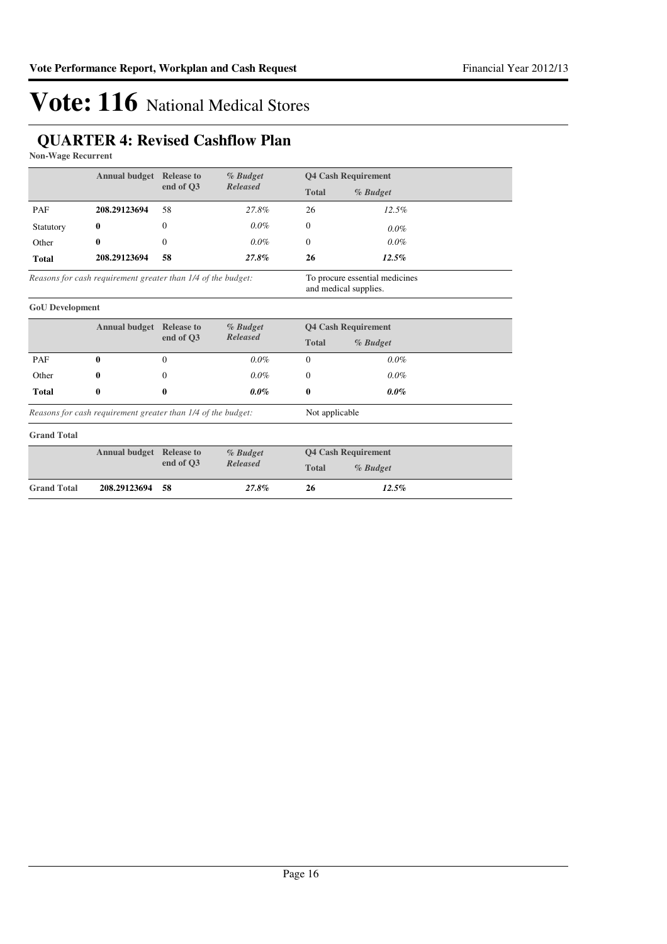### **QUARTER 4: Revised Cashflow Plan**

**Non-Wage Recurrent**

|                                                              | <b>Annual budget</b> Release to                              |                | % Budget        |                            | <b>Q4 Cash Requirement</b>                              |  |
|--------------------------------------------------------------|--------------------------------------------------------------|----------------|-----------------|----------------------------|---------------------------------------------------------|--|
|                                                              |                                                              | end of O3      | <b>Released</b> | <b>Total</b>               | % Budget                                                |  |
| PAF                                                          | 208.29123694                                                 | 58             | 27.8%           | 26                         | 12.5%                                                   |  |
| Statutory                                                    | 0                                                            | $\Omega$       | $0.0\%$         | $\Omega$                   | $0.0\%$                                                 |  |
| Other                                                        | 0                                                            | $\Omega$       | $0.0\%$         | $\Omega$                   | $0.0\%$                                                 |  |
| <b>Total</b>                                                 | 208.29123694                                                 | 58             | 27.8%           | 26                         | 12.5%                                                   |  |
|                                                              | Reasons for cash requirement greater than 1/4 of the budget: |                |                 |                            | To procure essential medicines<br>and medical supplies. |  |
| <b>GoU</b> Development                                       |                                                              |                |                 |                            |                                                         |  |
|                                                              | <b>Annual budget</b> Release to                              |                | % Budget        | <b>Q4 Cash Requirement</b> |                                                         |  |
|                                                              |                                                              | end of O3      | <b>Released</b> | <b>Total</b><br>% Budget   |                                                         |  |
| PAF                                                          | 0                                                            | $\Omega$       | $0.0\%$         | $\Omega$                   | $0.0\%$                                                 |  |
| Other                                                        | 0                                                            | $\Omega$       | $0.0\%$         | $\overline{0}$             | $0.0\%$                                                 |  |
| <b>Total</b>                                                 | 0                                                            | 0              | $0.0\%$         | $\mathbf{0}$               | $0.0\%$                                                 |  |
| Reasons for cash requirement greater than 1/4 of the budget: |                                                              | Not applicable |                 |                            |                                                         |  |
| <b>Grand Total</b>                                           |                                                              |                |                 |                            |                                                         |  |
|                                                              | <b>Annual budget</b> Release to                              |                | % Budget        |                            | <b>Q4 Cash Requirement</b>                              |  |
|                                                              |                                                              | end of Q3      | <b>Released</b> | <b>Total</b>               | % Budget                                                |  |
| <b>Grand Total</b>                                           | 208.29123694                                                 | 58             | 27.8%           | 26                         | 12.5%                                                   |  |